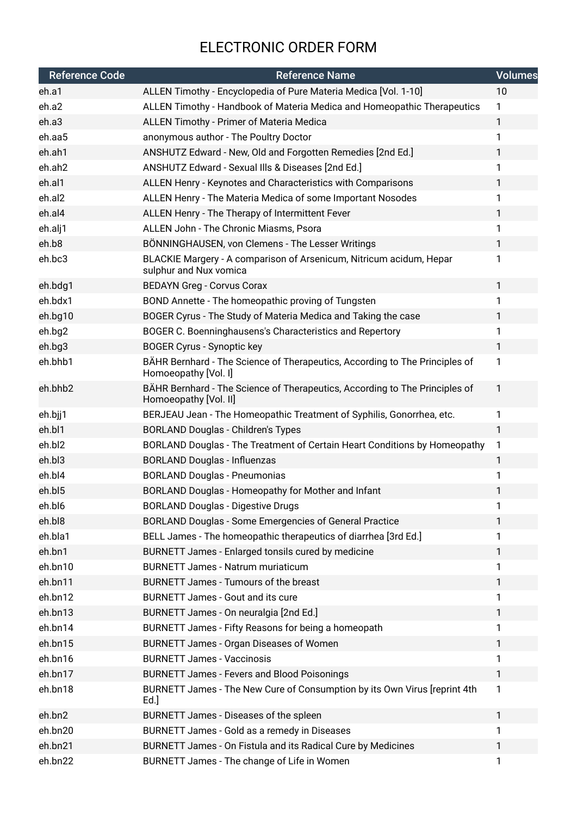## ELECTRONIC ORDER FORM

| <b>Reference Code</b> | <b>Reference Name</b>                                                                                | <b>Volumes</b> |
|-----------------------|------------------------------------------------------------------------------------------------------|----------------|
| eh.a1                 | ALLEN Timothy - Encyclopedia of Pure Materia Medica [Vol. 1-10]                                      | 10             |
| eh.a2                 | ALLEN Timothy - Handbook of Materia Medica and Homeopathic Therapeutics                              | 1              |
| eh.a3                 | ALLEN Timothy - Primer of Materia Medica                                                             | $\mathbf{1}$   |
| eh.aa5                | anonymous author - The Poultry Doctor                                                                | $\mathbf{1}$   |
| eh.ah1                | ANSHUTZ Edward - New, Old and Forgotten Remedies [2nd Ed.]                                           | 1              |
| eh.ah2                | ANSHUTZ Edward - Sexual IIIs & Diseases [2nd Ed.]                                                    | 1              |
| eh.al1                | ALLEN Henry - Keynotes and Characteristics with Comparisons                                          | $\mathbf{1}$   |
| eh.al2                | ALLEN Henry - The Materia Medica of some Important Nosodes                                           | 1              |
| eh.al4                | ALLEN Henry - The Therapy of Intermittent Fever                                                      | $\mathbf{1}$   |
| eh.alj1               | ALLEN John - The Chronic Miasms, Psora                                                               | 1              |
| eh.b8                 | BÖNNINGHAUSEN, von Clemens - The Lesser Writings                                                     | $\mathbf{1}$   |
| eh.bc3                | BLACKIE Margery - A comparison of Arsenicum, Nitricum acidum, Hepar<br>sulphur and Nux vomica        | $\mathbf{1}$   |
| eh.bdg1               | <b>BEDAYN Greg - Corvus Corax</b>                                                                    | $\mathbf{1}$   |
| eh.bdx1               | BOND Annette - The homeopathic proving of Tungsten                                                   | 1              |
| eh.bg10               | BOGER Cyrus - The Study of Materia Medica and Taking the case                                        | $\mathbf{1}$   |
| eh.bg2                | BOGER C. Boenninghausens's Characteristics and Repertory                                             | $\mathbf{1}$   |
| eh.bg3                | <b>BOGER Cyrus - Synoptic key</b>                                                                    | $\mathbf{1}$   |
| eh.bhb1               | BÄHR Bernhard - The Science of Therapeutics, According to The Principles of<br>Homoeopathy [Vol. I]  | 1              |
| eh.bhb2               | BÄHR Bernhard - The Science of Therapeutics, According to The Principles of<br>Homoeopathy [Vol. II] | 1              |
| eh.bjj1               | BERJEAU Jean - The Homeopathic Treatment of Syphilis, Gonorrhea, etc.                                | $\mathbf{1}$   |
| eh.bl1                | <b>BORLAND Douglas - Children's Types</b>                                                            | $\mathbf{1}$   |
| eh.bl2                | BORLAND Douglas - The Treatment of Certain Heart Conditions by Homeopathy                            | 1              |
| eh.bl3                | <b>BORLAND Douglas - Influenzas</b>                                                                  | 1              |
| eh.bl4                | <b>BORLAND Douglas - Pneumonias</b>                                                                  | 1              |
| eh.bl5                | BORLAND Douglas - Homeopathy for Mother and Infant                                                   | 1              |
| eh.bl6                | <b>BORLAND Douglas - Digestive Drugs</b>                                                             | 1              |
| eh.bl8                | BORLAND Douglas - Some Emergencies of General Practice                                               | 1              |
| eh.bla1               | BELL James - The homeopathic therapeutics of diarrhea [3rd Ed.]                                      | 1              |
| eh.bn1                | BURNETT James - Enlarged tonsils cured by medicine                                                   | $\mathbf{1}$   |
| eh.bn10               | <b>BURNETT James - Natrum muriaticum</b>                                                             | 1              |
| eh.bn11               | BURNETT James - Tumours of the breast                                                                | 1              |
| eh.bn12               | <b>BURNETT James - Gout and its cure</b>                                                             | 1              |
| eh.bn13               | BURNETT James - On neuralgia [2nd Ed.]                                                               | 1              |
| eh.bn14               | BURNETT James - Fifty Reasons for being a homeopath                                                  | 1              |
| eh.bn15               | BURNETT James - Organ Diseases of Women                                                              | $\mathbf{1}$   |
| eh.bn16               | <b>BURNETT James - Vaccinosis</b>                                                                    | 1              |
| eh.bn17               | <b>BURNETT James - Fevers and Blood Poisonings</b>                                                   | $\mathbf{1}$   |
| eh.bn18               | BURNETT James - The New Cure of Consumption by its Own Virus [reprint 4th<br>Ed.                     | $\mathbf{1}$   |
| eh.bn2                | BURNETT James - Diseases of the spleen                                                               | $\mathbf{1}$   |
| eh.bn20               | BURNETT James - Gold as a remedy in Diseases                                                         | 1              |
| eh.bn21               | BURNETT James - On Fistula and its Radical Cure by Medicines                                         | 1              |
| eh.bn22               | BURNETT James - The change of Life in Women                                                          | $\mathbf{1}$   |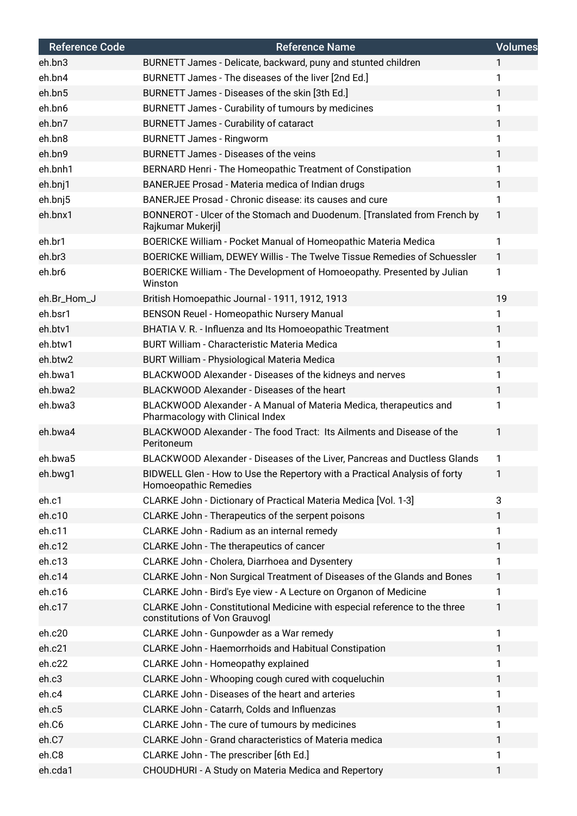| <b>Reference Code</b> | <b>Reference Name</b>                                                                                       | <b>Volumes</b> |
|-----------------------|-------------------------------------------------------------------------------------------------------------|----------------|
| eh.bn3                | BURNETT James - Delicate, backward, puny and stunted children                                               | 1              |
| eh.bn4                | BURNETT James - The diseases of the liver [2nd Ed.]                                                         | 1              |
| eh.bn5                | BURNETT James - Diseases of the skin [3th Ed.]                                                              | 1              |
| eh.bn6                | BURNETT James - Curability of tumours by medicines                                                          | 1              |
| eh.bn7                | <b>BURNETT James - Curability of cataract</b>                                                               | 1              |
| eh.bn8                | <b>BURNETT James - Ringworm</b>                                                                             | 1              |
| eh.bn9                | <b>BURNETT James - Diseases of the veins</b>                                                                | 1              |
| eh.bnh1               | BERNARD Henri - The Homeopathic Treatment of Constipation                                                   | 1              |
| eh.bnj1               | BANERJEE Prosad - Materia medica of Indian drugs                                                            | 1              |
| eh.bnj5               | BANERJEE Prosad - Chronic disease: its causes and cure                                                      | 1              |
| eh.bnx1               | BONNEROT - Ulcer of the Stomach and Duodenum. [Translated from French by<br>Rajkumar Mukerji]               | 1              |
| eh.br1                | BOERICKE William - Pocket Manual of Homeopathic Materia Medica                                              | 1              |
| eh.br3                | BOERICKE William, DEWEY Willis - The Twelve Tissue Remedies of Schuessler                                   | 1              |
| eh.br6                | BOERICKE William - The Development of Homoeopathy. Presented by Julian<br>Winston                           | 1              |
| eh.Br_Hom_J           | British Homoepathic Journal - 1911, 1912, 1913                                                              | 19             |
| eh.bsr1               | BENSON Reuel - Homeopathic Nursery Manual                                                                   | 1              |
| eh.btv1               | BHATIA V. R. - Influenza and Its Homoeopathic Treatment                                                     | 1              |
| eh.btw1               | <b>BURT William - Characteristic Materia Medica</b>                                                         | 1              |
| eh.btw2               | <b>BURT William - Physiological Materia Medica</b>                                                          | 1              |
| eh.bwa1               | BLACKWOOD Alexander - Diseases of the kidneys and nerves                                                    | 1              |
| eh.bwa2               | BLACKWOOD Alexander - Diseases of the heart                                                                 | 1              |
| eh.bwa3               | BLACKWOOD Alexander - A Manual of Materia Medica, therapeutics and<br>Pharmacology with Clinical Index      | 1              |
| eh.bwa4               | BLACKWOOD Alexander - The food Tract: Its Ailments and Disease of the<br>Peritoneum                         | 1              |
| eh.bwa5               | BLACKWOOD Alexander - Diseases of the Liver, Pancreas and Ductless Glands                                   | 1              |
| eh.bwg1               | BIDWELL Glen - How to Use the Repertory with a Practical Analysis of forty<br>Homoeopathic Remedies         |                |
| eh.c1                 | CLARKE John - Dictionary of Practical Materia Medica [Vol. 1-3]                                             | 3              |
| eh.c10                | CLARKE John - Therapeutics of the serpent poisons                                                           | 1              |
| eh.c11                | CLARKE John - Radium as an internal remedy                                                                  | 1              |
| eh.c12                | CLARKE John - The therapeutics of cancer                                                                    | 1              |
| eh.c13                | CLARKE John - Cholera, Diarrhoea and Dysentery                                                              | 1              |
| eh.c14                | CLARKE John - Non Surgical Treatment of Diseases of the Glands and Bones                                    | 1              |
| eh.c16                | CLARKE John - Bird's Eye view - A Lecture on Organon of Medicine                                            | 1              |
| eh.c17                | CLARKE John - Constitutional Medicine with especial reference to the three<br>constitutions of Von Grauvogl | 1              |
| eh.c20                | CLARKE John - Gunpowder as a War remedy                                                                     | 1              |
| eh.c21                | CLARKE John - Haemorrhoids and Habitual Constipation                                                        | 1              |
| eh.c22                | CLARKE John - Homeopathy explained                                                                          | 1              |
| eh.c3                 | CLARKE John - Whooping cough cured with coqueluchin                                                         | 1              |
| eh.c4                 | CLARKE John - Diseases of the heart and arteries                                                            | 1              |
| eh.c5                 | CLARKE John - Catarrh, Colds and Influenzas                                                                 | 1              |
| eh.C6                 | CLARKE John - The cure of tumours by medicines                                                              | 1              |
| eh.C7                 | <b>CLARKE John - Grand characteristics of Materia medica</b>                                                | 1              |
| eh.C8                 | CLARKE John - The prescriber [6th Ed.]                                                                      | 1              |
| eh.cda1               | CHOUDHURI - A Study on Materia Medica and Repertory                                                         | 1              |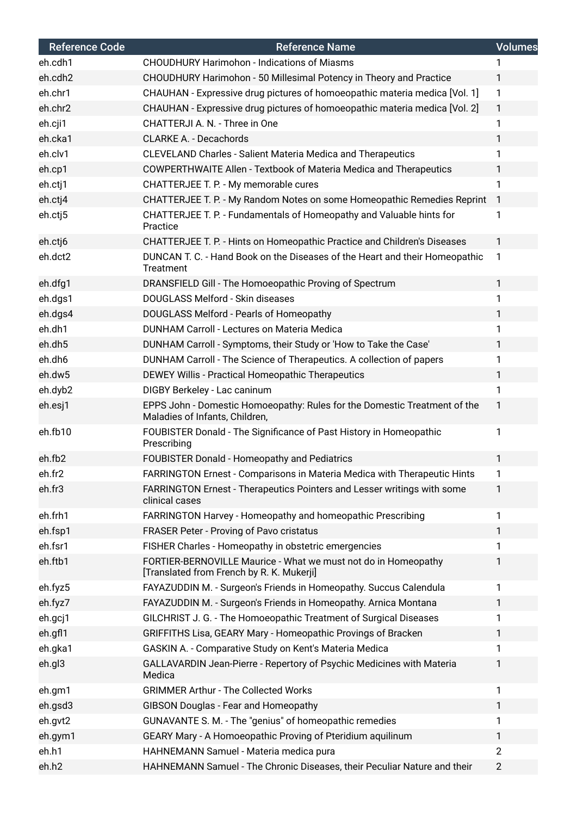| <b>Reference Code</b> | <b>Reference Name</b>                                                                                       | <b>Volumes</b> |
|-----------------------|-------------------------------------------------------------------------------------------------------------|----------------|
| eh.cdh1               | <b>CHOUDHURY Harimohon - Indications of Miasms</b>                                                          |                |
| eh.cdh2               | CHOUDHURY Harimohon - 50 Millesimal Potency in Theory and Practice                                          | 1              |
| eh.chr1               | CHAUHAN - Expressive drug pictures of homoeopathic materia medica [Vol. 1]                                  | $\mathbf{1}$   |
| eh.chr2               | CHAUHAN - Expressive drug pictures of homoeopathic materia medica [Vol. 2]                                  | $\mathbf{1}$   |
| eh.cji1               | CHATTERJI A. N. - Three in One                                                                              | 1              |
| eh.cka1               | <b>CLARKE A. - Decachords</b>                                                                               | 1              |
| eh.clv1               | <b>CLEVELAND Charles - Salient Materia Medica and Therapeutics</b>                                          | 1              |
| eh.cp1                | COWPERTHWAITE Allen - Textbook of Materia Medica and Therapeutics                                           | 1              |
| eh.ctj1               | CHATTERJEE T. P. - My memorable cures                                                                       | 1              |
| eh.ctj4               | CHATTERJEE T. P. - My Random Notes on some Homeopathic Remedies Reprint                                     | $\overline{1}$ |
| eh.ctj5               | CHATTERJEE T. P. - Fundamentals of Homeopathy and Valuable hints for<br>Practice                            | 1              |
| eh.ctj6               | CHATTERJEE T. P. - Hints on Homeopathic Practice and Children's Diseases                                    | $\mathbf{1}$   |
| eh.dct2               | DUNCAN T. C. - Hand Book on the Diseases of the Heart and their Homeopathic<br>Treatment                    | 1              |
| eh.dfg1               | DRANSFIELD Gill - The Homoeopathic Proving of Spectrum                                                      | $\mathbf{1}$   |
| eh.dgs1               | DOUGLASS Melford - Skin diseases                                                                            | $\mathbf{1}$   |
| eh.dgs4               | DOUGLASS Melford - Pearls of Homeopathy                                                                     | 1              |
| eh.dh1                | DUNHAM Carroll - Lectures on Materia Medica                                                                 | $\mathbf{1}$   |
| eh.dh5                | DUNHAM Carroll - Symptoms, their Study or 'How to Take the Case'                                            | 1              |
| eh.dh6                | DUNHAM Carroll - The Science of Therapeutics. A collection of papers                                        | 1              |
| eh.dw5                | DEWEY Willis - Practical Homeopathic Therapeutics                                                           | 1              |
| eh.dyb2               | DIGBY Berkeley - Lac caninum                                                                                | $\mathbf{1}$   |
| eh.esj1               | EPPS John - Domestic Homoeopathy: Rules for the Domestic Treatment of the<br>Maladies of Infants, Children, | $\mathbf{1}$   |
| eh.fb10               | FOUBISTER Donald - The Significance of Past History in Homeopathic<br>Prescribing                           | 1              |
| eh.fb2                | FOUBISTER Donald - Homeopathy and Pediatrics                                                                | 1              |
| eh.fr2                | FARRINGTON Ernest - Comparisons in Materia Medica with Therapeutic Hints                                    | 1              |
| eh.fr3                | FARRINGTON Ernest - Therapeutics Pointers and Lesser writings with some<br>clinical cases                   | 1              |
| eh.frh1               | FARRINGTON Harvey - Homeopathy and homeopathic Prescribing                                                  | 1              |
| eh.fsp1               | FRASER Peter - Proving of Pavo cristatus                                                                    | $\mathbf{1}$   |
| eh.fsr1               | FISHER Charles - Homeopathy in obstetric emergencies                                                        | 1              |
| eh.ftb1               | FORTIER-BERNOVILLE Maurice - What we must not do in Homeopathy<br>[Translated from French by R. K. Mukerji] | 1              |
| eh.fyz5               | FAYAZUDDIN M. - Surgeon's Friends in Homeopathy. Succus Calendula                                           | 1              |
| eh.fyz7               | FAYAZUDDIN M. - Surgeon's Friends in Homeopathy. Arnica Montana                                             | 1              |
| eh.gcj1               | GILCHRIST J. G. - The Homoeopathic Treatment of Surgical Diseases                                           | 1              |
| eh.gfl1               | GRIFFITHS Lisa, GEARY Mary - Homeopathic Provings of Bracken                                                | $\mathbf{1}$   |
| eh.gka1               | GASKIN A. - Comparative Study on Kent's Materia Medica                                                      | 1              |
| eh.gl3                | GALLAVARDIN Jean-Pierre - Repertory of Psychic Medicines with Materia<br>Medica                             | 1              |
| eh.gm1                | <b>GRIMMER Arthur - The Collected Works</b>                                                                 | 1              |
| eh.gsd3               | GIBSON Douglas - Fear and Homeopathy                                                                        | $\mathbf{1}$   |
| eh.gvt2               | GUNAVANTE S. M. - The "genius" of homeopathic remedies                                                      | 1              |
| eh.gym1               | GEARY Mary - A Homoeopathic Proving of Pteridium aquilinum                                                  | 1              |
| eh.h1                 | HAHNEMANN Samuel - Materia medica pura                                                                      | $\overline{2}$ |
| eh.h2                 | HAHNEMANN Samuel - The Chronic Diseases, their Peculiar Nature and their                                    | $\overline{2}$ |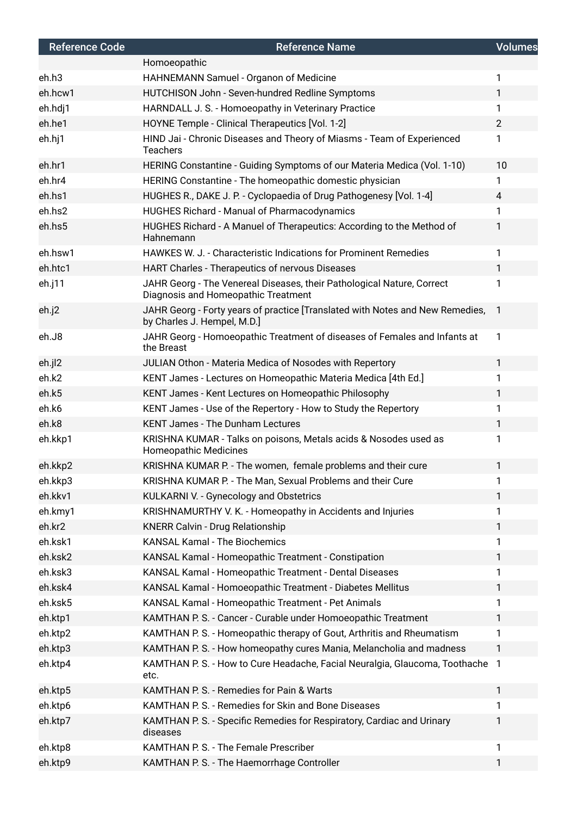| <b>Reference Code</b> | <b>Reference Name</b>                                                                                         | <b>Volumes</b> |
|-----------------------|---------------------------------------------------------------------------------------------------------------|----------------|
|                       | Homoeopathic                                                                                                  |                |
| eh.h3                 | HAHNEMANN Samuel - Organon of Medicine                                                                        | 1              |
| eh.hcw1               | HUTCHISON John - Seven-hundred Redline Symptoms                                                               | $\mathbf{1}$   |
| eh.hdj1               | HARNDALL J. S. - Homoeopathy in Veterinary Practice                                                           | 1.             |
| eh.he1                | HOYNE Temple - Clinical Therapeutics [Vol. 1-2]                                                               | $\overline{2}$ |
| eh.hj1                | HIND Jai - Chronic Diseases and Theory of Miasms - Team of Experienced<br><b>Teachers</b>                     | 1.             |
| eh.hr1                | HERING Constantine - Guiding Symptoms of our Materia Medica (Vol. 1-10)                                       | 10             |
| eh.hr4                | HERING Constantine - The homeopathic domestic physician                                                       | 1              |
| eh.hs1                | HUGHES R., DAKE J. P. - Cyclopaedia of Drug Pathogenesy [Vol. 1-4]                                            | 4              |
| eh.hs2                | <b>HUGHES Richard - Manual of Pharmacodynamics</b>                                                            | 1              |
| eh.hs5                | HUGHES Richard - A Manuel of Therapeutics: According to the Method of<br>Hahnemann                            | 1              |
| eh.hsw1               | HAWKES W. J. - Characteristic Indications for Prominent Remedies                                              | 1              |
| eh.htc1               | HART Charles - Therapeutics of nervous Diseases                                                               | $\mathbf{1}$   |
| eh.j11                | JAHR Georg - The Venereal Diseases, their Pathological Nature, Correct<br>Diagnosis and Homeopathic Treatment | 1              |
| eh.j2                 | JAHR Georg - Forty years of practice [Translated with Notes and New Remedies,<br>by Charles J. Hempel, M.D.]  | $\mathbf{1}$   |
| eh.J8                 | JAHR Georg - Homoeopathic Treatment of diseases of Females and Infants at<br>the Breast                       | 1              |
| eh.jl2                | JULIAN Othon - Materia Medica of Nosodes with Repertory                                                       | $\mathbf{1}$   |
| eh.k2                 | KENT James - Lectures on Homeopathic Materia Medica [4th Ed.]                                                 | 1              |
| eh.k5                 | KENT James - Kent Lectures on Homeopathic Philosophy                                                          | 1.             |
| eh.k6                 | KENT James - Use of the Repertory - How to Study the Repertory                                                | 1              |
| eh.k8                 | <b>KENT James - The Dunham Lectures</b>                                                                       | $\mathbf{1}$   |
| eh.kkp1               | KRISHNA KUMAR - Talks on poisons, Metals acids & Nosodes used as<br><b>Homeopathic Medicines</b>              | 1              |
| eh.kkp2               | KRISHNA KUMAR P. - The women, female problems and their cure                                                  | 1              |
| eh.kkp3               | KRISHNA KUMAR P. - The Man, Sexual Problems and their Cure                                                    | 1              |
| eh.kkv1               | KULKARNI V. - Gynecology and Obstetrics                                                                       | 1              |
| eh.kmy1               | KRISHNAMURTHY V. K. - Homeopathy in Accidents and Injuries                                                    | 1              |
| eh.kr2                | <b>KNERR Calvin - Drug Relationship</b>                                                                       | 1              |
| eh.ksk1               | <b>KANSAL Kamal - The Biochemics</b>                                                                          | 1              |
| eh.ksk2               | KANSAL Kamal - Homeopathic Treatment - Constipation                                                           | 1              |
| eh.ksk3               | KANSAL Kamal - Homeopathic Treatment - Dental Diseases                                                        | 1              |
| eh.ksk4               | KANSAL Kamal - Homoeopathic Treatment - Diabetes Mellitus                                                     | 1              |
| eh.ksk5               | KANSAL Kamal - Homeopathic Treatment - Pet Animals                                                            | 1              |
| eh.ktp1               | KAMTHAN P. S. - Cancer - Curable under Homoeopathic Treatment                                                 | 1              |
| eh.ktp2               | KAMTHAN P. S. - Homeopathic therapy of Gout, Arthritis and Rheumatism                                         | 1              |
| eh.ktp3               | KAMTHAN P.S. - How homeopathy cures Mania, Melancholia and madness                                            | 1              |
| eh.ktp4               | KAMTHAN P. S. - How to Cure Headache, Facial Neuralgia, Glaucoma, Toothache<br>etc.                           | -1             |
| eh.ktp5               | KAMTHAN P. S. - Remedies for Pain & Warts                                                                     | 1              |
| eh.ktp6               | KAMTHAN P. S. - Remedies for Skin and Bone Diseases                                                           | 1              |
| eh.ktp7               | KAMTHAN P. S. - Specific Remedies for Respiratory, Cardiac and Urinary<br>diseases                            | 1              |
| eh.ktp8               | KAMTHAN P. S. - The Female Prescriber                                                                         | 1              |
| eh.ktp9               | KAMTHAN P. S. - The Haemorrhage Controller                                                                    | 1              |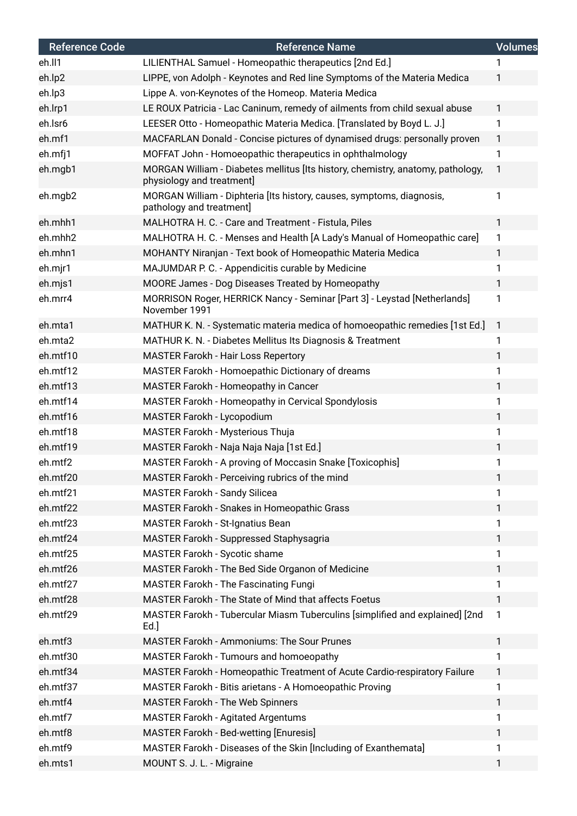| <b>Reference Code</b> | <b>Reference Name</b>                                                                                        | <b>Volumes</b> |
|-----------------------|--------------------------------------------------------------------------------------------------------------|----------------|
| eh.ll1                | LILIENTHAL Samuel - Homeopathic therapeutics [2nd Ed.]                                                       |                |
| eh.lp2                | LIPPE, von Adolph - Keynotes and Red line Symptoms of the Materia Medica                                     | 1              |
| eh.lp3                | Lippe A. von-Keynotes of the Homeop. Materia Medica                                                          |                |
| eh.lrp1               | LE ROUX Patricia - Lac Caninum, remedy of ailments from child sexual abuse                                   | 1              |
| eh.lsr6               | LEESER Otto - Homeopathic Materia Medica. [Translated by Boyd L. J.]                                         | 1              |
| eh.mf1                | MACFARLAN Donald - Concise pictures of dynamised drugs: personally proven                                    | $\mathbf{1}$   |
| eh.mfj1               | MOFFAT John - Homoeopathic therapeutics in ophthalmology                                                     | 1              |
| eh.mgb1               | MORGAN William - Diabetes mellitus [Its history, chemistry, anatomy, pathology,<br>physiology and treatment] | 1              |
| eh.mgb2               | MORGAN William - Diphteria [Its history, causes, symptoms, diagnosis,<br>pathology and treatment]            | 1              |
| eh.mhh1               | MALHOTRA H. C. - Care and Treatment - Fistula, Piles                                                         | 1              |
| eh.mhh2               | MALHOTRA H. C. - Menses and Health [A Lady's Manual of Homeopathic care]                                     | 1              |
| eh.mhn1               | MOHANTY Niranjan - Text book of Homeopathic Materia Medica                                                   | 1              |
| eh.mjr1               | MAJUMDAR P. C. - Appendicitis curable by Medicine                                                            | 1              |
| eh.mjs1               | MOORE James - Dog Diseases Treated by Homeopathy                                                             | 1              |
| eh.mrr4               | MORRISON Roger, HERRICK Nancy - Seminar [Part 3] - Leystad [Netherlands]<br>November 1991                    | 1              |
| eh.mta1               | MATHUR K. N. - Systematic materia medica of homoeopathic remedies [1st Ed.]                                  | 1              |
| eh.mta2               | MATHUR K. N. - Diabetes Mellitus Its Diagnosis & Treatment                                                   | 1              |
| eh.mtf10              | <b>MASTER Farokh - Hair Loss Repertory</b>                                                                   | 1              |
| eh.mtf12              | MASTER Farokh - Homoepathic Dictionary of dreams                                                             | 1              |
| eh.mtf13              | MASTER Farokh - Homeopathy in Cancer                                                                         | 1              |
| eh.mtf14              | <b>MASTER Farokh - Homeopathy in Cervical Spondylosis</b>                                                    | 1              |
| eh.mtf16              | MASTER Farokh - Lycopodium                                                                                   | 1              |
| eh.mtf18              | MASTER Farokh - Mysterious Thuja                                                                             | 1              |
| eh.mtf19              | MASTER Farokh - Naja Naja Naja [1st Ed.]                                                                     | 1              |
| eh.mtf2               | MASTER Farokh - A proving of Moccasin Snake [Toxicophis]                                                     | 1              |
| eh.mtf20              | MASTER Farokh - Perceiving rubrics of the mind                                                               | 1              |
| eh.mtf21              | <b>MASTER Farokh - Sandy Silicea</b>                                                                         | 1              |
| eh.mtf22              | MASTER Farokh - Snakes in Homeopathic Grass                                                                  | 1              |
| eh.mtf23              | MASTER Farokh - St-Ignatius Bean                                                                             | 1              |
| eh.mtf24              | MASTER Farokh - Suppressed Staphysagria                                                                      | 1              |
| eh.mtf25              | MASTER Farokh - Sycotic shame                                                                                | 1              |
| eh.mtf26              | MASTER Farokh - The Bed Side Organon of Medicine                                                             | 1              |
| eh.mtf27              | <b>MASTER Farokh - The Fascinating Fungi</b>                                                                 | 1              |
| eh.mtf28              | MASTER Farokh - The State of Mind that affects Foetus                                                        | 1              |
| eh.mtf29              | MASTER Farokh - Tubercular Miasm Tuberculins [simplified and explained] [2nd<br>Ed.                          | $\mathbf{1}$   |
| eh.mtf3               | <b>MASTER Farokh - Ammoniums: The Sour Prunes</b>                                                            | 1              |
| eh.mtf30              | MASTER Farokh - Tumours and homoeopathy                                                                      | 1              |
| eh.mtf34              | MASTER Farokh - Homeopathic Treatment of Acute Cardio-respiratory Failure                                    | 1              |
| eh.mtf37              | MASTER Farokh - Bitis arietans - A Homoeopathic Proving                                                      | 1              |
| eh.mtf4               | <b>MASTER Farokh - The Web Spinners</b>                                                                      | 1              |
| eh.mtf7               | <b>MASTER Farokh - Agitated Argentums</b>                                                                    | 1              |
| eh.mtf8               | MASTER Farokh - Bed-wetting [Enuresis]                                                                       | 1              |
| eh.mtf9               | MASTER Farokh - Diseases of the Skin [Including of Exanthemata]                                              | 1              |
| eh.mts1               | MOUNT S. J. L. - Migraine                                                                                    | 1              |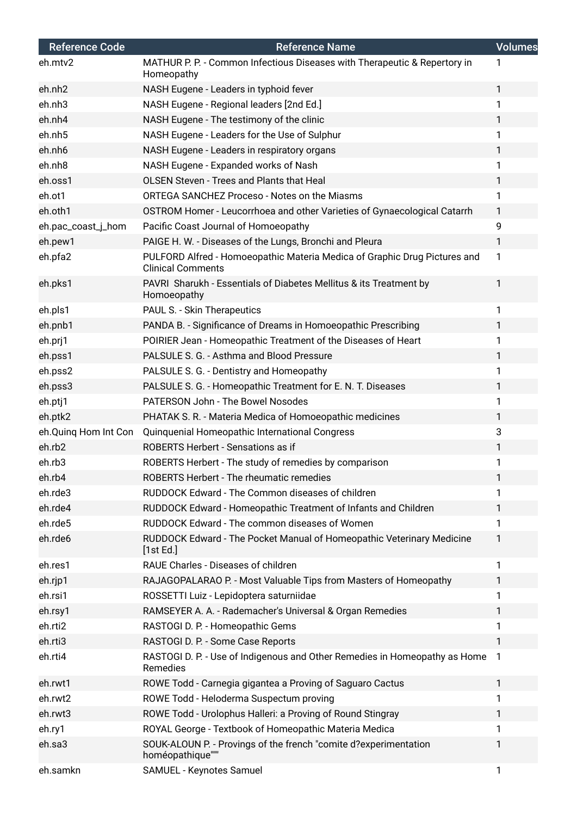| <b>Reference Code</b> | <b>Reference Name</b>                                                                                 | <b>Volumes</b> |
|-----------------------|-------------------------------------------------------------------------------------------------------|----------------|
| eh.mtv2               | MATHUR P. P. - Common Infectious Diseases with Therapeutic & Repertory in<br>Homeopathy               | 1              |
| eh.nh <sub>2</sub>    | NASH Eugene - Leaders in typhoid fever                                                                | $\mathbf{1}$   |
| eh.nh <sub>3</sub>    | NASH Eugene - Regional leaders [2nd Ed.]                                                              | $\mathbf{1}$   |
| eh.nh4                | NASH Eugene - The testimony of the clinic                                                             | 1              |
| eh.nh5                | NASH Eugene - Leaders for the Use of Sulphur                                                          | $\mathbf{1}$   |
| eh.nh6                | NASH Eugene - Leaders in respiratory organs                                                           | 1              |
| eh.nh8                | NASH Eugene - Expanded works of Nash                                                                  | 1              |
| eh.oss1               | OLSEN Steven - Trees and Plants that Heal                                                             | 1              |
| eh.ot1                | <b>ORTEGA SANCHEZ Proceso - Notes on the Miasms</b>                                                   | 1              |
| eh.oth1               | OSTROM Homer - Leucorrhoea and other Varieties of Gynaecological Catarrh                              | $\mathbf{1}$   |
| eh.pac_coast_j_hom    | Pacific Coast Journal of Homoeopathy                                                                  | 9              |
| eh.pew1               | PAIGE H. W. - Diseases of the Lungs, Bronchi and Pleura                                               | $\mathbf{1}$   |
| eh.pfa2               | PULFORD Alfred - Homoeopathic Materia Medica of Graphic Drug Pictures and<br><b>Clinical Comments</b> | 1              |
| eh.pks1               | PAVRI Sharukh - Essentials of Diabetes Mellitus & its Treatment by<br>Homoeopathy                     | 1              |
| eh.pls1               | PAUL S. - Skin Therapeutics                                                                           | 1              |
| eh.pnb1               | PANDA B. - Significance of Dreams in Homoeopathic Prescribing                                         | $\mathbf{1}$   |
| eh.prj1               | POIRIER Jean - Homeopathic Treatment of the Diseases of Heart                                         | 1              |
| eh.pss1               | PALSULE S. G. - Asthma and Blood Pressure                                                             | $\mathbf{1}$   |
| eh.pss2               | PALSULE S. G. - Dentistry and Homeopathy                                                              | 1              |
| eh.pss3               | PALSULE S. G. - Homeopathic Treatment for E. N. T. Diseases                                           | 1              |
| eh.ptj1               | PATERSON John - The Bowel Nosodes                                                                     | $\mathbf{1}$   |
| eh.ptk2               | PHATAK S. R. - Materia Medica of Homoeopathic medicines                                               | 1              |
| eh.Quinq Hom Int Con  | Quinquenial Homeopathic International Congress                                                        | 3              |
| eh.rb2                | ROBERTS Herbert - Sensations as if                                                                    | $\mathbf{1}$   |
| eh.rb3                | ROBERTS Herbert - The study of remedies by comparison                                                 | 1              |
| eh.rb4                | ROBERTS Herbert - The rheumatic remedies                                                              | 1              |
| eh.rde3               | RUDDOCK Edward - The Common diseases of children                                                      | 1              |
| eh.rde4               | RUDDOCK Edward - Homeopathic Treatment of Infants and Children                                        | 1              |
| eh.rde5               | RUDDOCK Edward - The common diseases of Women                                                         | 1              |
| eh.rde6               | RUDDOCK Edward - The Pocket Manual of Homeopathic Veterinary Medicine<br>[1st Ed.]                    | 1              |
| eh.res1               | RAUE Charles - Diseases of children                                                                   | 1              |
| eh.rjp1               | RAJAGOPALARAO P. - Most Valuable Tips from Masters of Homeopathy                                      | $\mathbf{1}$   |
| eh.rsi1               | ROSSETTI Luiz - Lepidoptera saturniidae                                                               | 1              |
| eh.rsy1               | RAMSEYER A. A. - Rademacher's Universal & Organ Remedies                                              | 1              |
| eh.rti2               | RASTOGI D. P. - Homeopathic Gems                                                                      | 1              |
| eh.rti3               | RASTOGI D. P. - Some Case Reports                                                                     | 1              |
| eh.rti4               | RASTOGI D. P. - Use of Indigenous and Other Remedies in Homeopathy as Home<br>Remedies                | 1              |
| eh.rwt1               | ROWE Todd - Carnegia gigantea a Proving of Saguaro Cactus                                             | 1              |
| eh.rwt2               | ROWE Todd - Heloderma Suspectum proving                                                               | 1              |
| eh.rwt3               | ROWE Todd - Urolophus Halleri: a Proving of Round Stingray                                            | 1              |
| eh.ry1                | ROYAL George - Textbook of Homeopathic Materia Medica                                                 | 1              |
| eh.sa3                | SOUK-ALOUN P. - Provings of the french "comite d?experimentation<br>homéopathique""                   | 1              |
| eh.samkn              | SAMUEL - Keynotes Samuel                                                                              | 1              |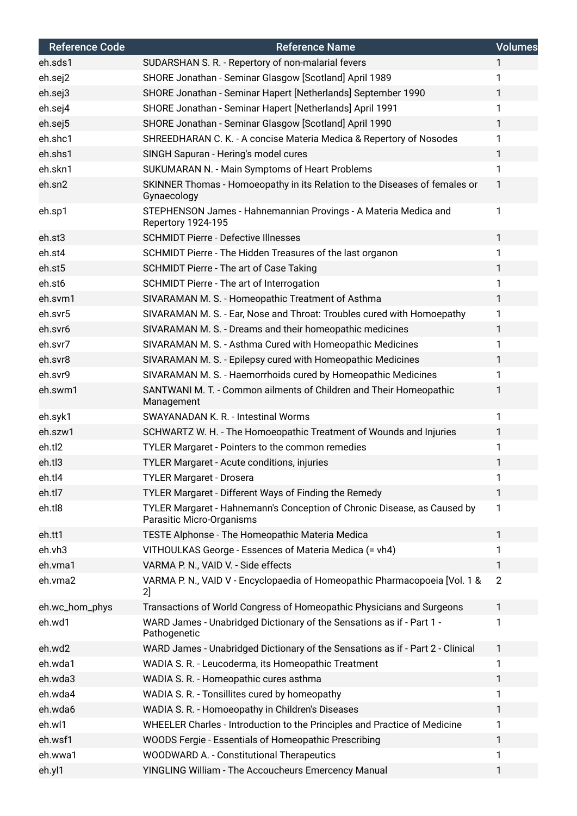| <b>Reference Code</b> | <b>Reference Name</b>                                                                                 | <b>Volumes</b> |
|-----------------------|-------------------------------------------------------------------------------------------------------|----------------|
| eh.sds1               | SUDARSHAN S. R. - Repertory of non-malarial fevers                                                    | 1              |
| eh.sej2               | SHORE Jonathan - Seminar Glasgow [Scotland] April 1989                                                | 1              |
| eh.sej3               | SHORE Jonathan - Seminar Hapert [Netherlands] September 1990                                          | $\mathbf{1}$   |
| eh.sej4               | SHORE Jonathan - Seminar Hapert [Netherlands] April 1991                                              | $\mathbf{1}$   |
| eh.sej5               | SHORE Jonathan - Seminar Glasgow [Scotland] April 1990                                                | 1              |
| eh.shc1               | SHREEDHARAN C. K. - A concise Materia Medica & Repertory of Nosodes                                   | $\mathbf{1}$   |
| eh.shs1               | SINGH Sapuran - Hering's model cures                                                                  | $\mathbf{1}$   |
| eh.skn1               | SUKUMARAN N. - Main Symptoms of Heart Problems                                                        | 1              |
| eh.sn2                | SKINNER Thomas - Homoeopathy in its Relation to the Diseases of females or<br>Gynaecology             | 1              |
| eh.sp1                | STEPHENSON James - Hahnemannian Provings - A Materia Medica and<br><b>Repertory 1924-195</b>          | 1              |
| eh.st3                | <b>SCHMIDT Pierre - Defective Illnesses</b>                                                           | $\mathbf{1}$   |
| eh.st4                | SCHMIDT Pierre - The Hidden Treasures of the last organon                                             | 1              |
| eh.st5                | SCHMIDT Pierre - The art of Case Taking                                                               | $\mathbf{1}$   |
| eh.st6                | SCHMIDT Pierre - The art of Interrogation                                                             | $\mathbf{1}$   |
| eh.svm1               | SIVARAMAN M. S. - Homeopathic Treatment of Asthma                                                     | 1              |
| eh.svr5               | SIVARAMAN M. S. - Ear, Nose and Throat: Troubles cured with Homoepathy                                | 1              |
| eh.svr6               | SIVARAMAN M. S. - Dreams and their homeopathic medicines                                              | $\mathbf{1}$   |
| eh.svr7               | SIVARAMAN M. S. - Asthma Cured with Homeopathic Medicines                                             | 1              |
| eh.svr8               | SIVARAMAN M. S. - Epilepsy cured with Homeopathic Medicines                                           | $\mathbf{1}$   |
| eh.svr9               | SIVARAMAN M. S. - Haemorrhoids cured by Homeopathic Medicines                                         | 1              |
| eh.swm1               | SANTWANI M. T. - Common ailments of Children and Their Homeopathic<br>Management                      | 1              |
| eh.syk1               | <b>SWAYANADAN K. R. - Intestinal Worms</b>                                                            | $\mathbf{1}$   |
| eh.szw1               | SCHWARTZ W. H. - The Homoeopathic Treatment of Wounds and Injuries                                    | $\mathbf{1}$   |
| eh.tl2                | TYLER Margaret - Pointers to the common remedies                                                      | 1              |
| eh.tl3                | TYLER Margaret - Acute conditions, injuries                                                           | 1              |
| eh.tl4                | <b>TYLER Margaret - Drosera</b>                                                                       | 1              |
| eh.tl7                | TYLER Margaret - Different Ways of Finding the Remedy                                                 | 1              |
| eh.tl8                | TYLER Margaret - Hahnemann's Conception of Chronic Disease, as Caused by<br>Parasitic Micro-Organisms | $\mathbf{1}$   |
| eh.tt1                | TESTE Alphonse - The Homeopathic Materia Medica                                                       | $\mathbf{1}$   |
| eh.vh3                | VITHOULKAS George - Essences of Materia Medica (= vh4)                                                | 1              |
| eh.vma1               | VARMA P. N., VAID V. - Side effects                                                                   | 1              |
| eh.vma2               | VARMA P. N., VAID V - Encyclopaedia of Homeopathic Pharmacopoeia [Vol. 1 &<br>2]                      | $\overline{2}$ |
| eh.wc_hom_phys        | Transactions of World Congress of Homeopathic Physicians and Surgeons                                 | $\mathbf{1}$   |
| eh.wd1                | WARD James - Unabridged Dictionary of the Sensations as if - Part 1 -<br>Pathogenetic                 | 1              |
| eh.wd2                | WARD James - Unabridged Dictionary of the Sensations as if - Part 2 - Clinical                        | $\mathbf{1}$   |
| eh.wda1               | WADIA S. R. - Leucoderma, its Homeopathic Treatment                                                   | 1              |
| eh.wda3               | WADIA S. R. - Homeopathic cures asthma                                                                | $\mathbf{1}$   |
| eh.wda4               | WADIA S. R. - Tonsillites cured by homeopathy                                                         | 1              |
| eh.wda6               | WADIA S. R. - Homoeopathy in Children's Diseases                                                      | 1              |
| eh.wl1                | WHEELER Charles - Introduction to the Principles and Practice of Medicine                             | 1              |
| eh.wsf1               | WOODS Fergie - Essentials of Homeopathic Prescribing                                                  | $\mathbf{1}$   |
| eh.wwa1               | WOODWARD A. - Constitutional Therapeutics                                                             | 1              |
| eh.yl1                | YINGLING William - The Accoucheurs Emercency Manual                                                   | 1              |